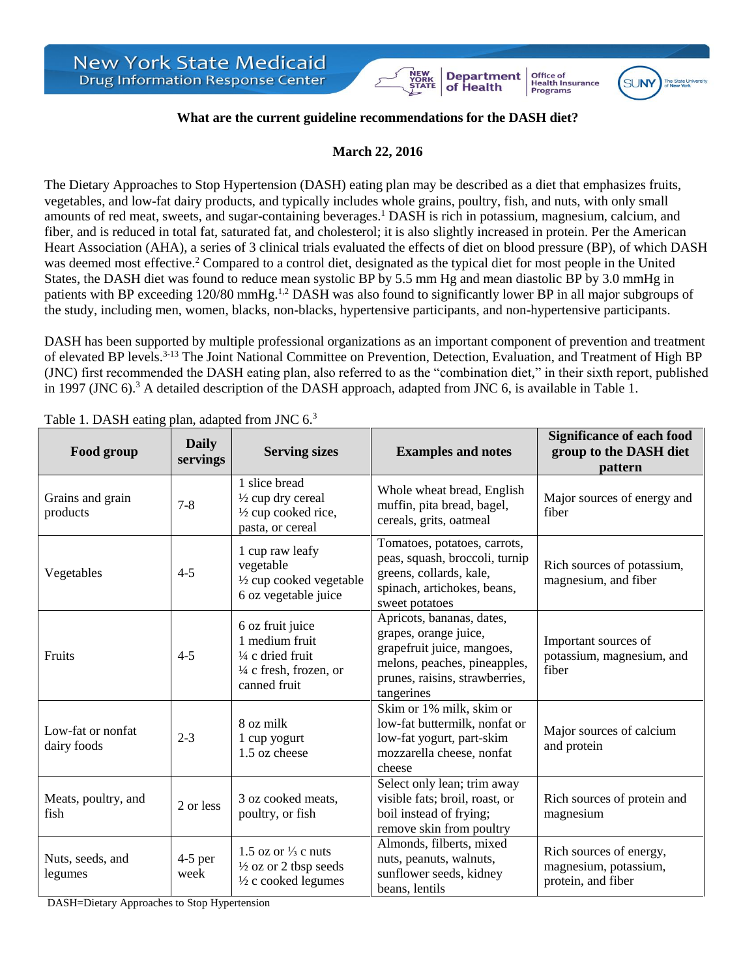## **What are the current guideline recommendations for the DASH diet?**

**Department**<br>of Health

**Office of<br>Health Insurance** 

Programs

**SI INV** 

## **March 22, 2016**

The Dietary Approaches to Stop Hypertension (DASH) eating plan may be described as a diet that emphasizes fruits, vegetables, and low-fat dairy products, and typically includes whole grains, poultry, fish, and nuts, with only small amounts of red meat, sweets, and sugar-containing beverages.<sup>1</sup> DASH is rich in potassium, magnesium, calcium, and fiber, and is reduced in total fat, saturated fat, and cholesterol; it is also slightly increased in protein. Per the American Heart Association (AHA), a series of 3 clinical trials evaluated the effects of diet on blood pressure (BP), of which DASH was deemed most effective.<sup>2</sup> Compared to a control diet, designated as the typical diet for most people in the United States, the DASH diet was found to reduce mean systolic BP by 5.5 mm Hg and mean diastolic BP by 3.0 mmHg in patients with BP exceeding 120/80 mmHg.<sup>1,2</sup> DASH was also found to significantly lower BP in all major subgroups of the study, including men, women, blacks, non-blacks, hypertensive participants, and non-hypertensive participants.

DASH has been supported by multiple professional organizations as an important component of prevention and treatment of elevated BP levels.<sup>3-13</sup> The Joint National Committee on Prevention, Detection, Evaluation, and Treatment of High BP (JNC) first recommended the DASH eating plan, also referred to as the "combination diet," in their sixth report, published in 1997 (JNC 6). <sup>3</sup> A detailed description of the DASH approach, adapted from JNC 6, is available in Table 1.

| Food group                       | <b>Daily</b><br>servings | <b>Serving sizes</b>                                                                                                                                                        | <b>Examples and notes</b>                                                                                                                                        | <b>Significance of each food</b><br>group to the DASH diet<br>pattern  |
|----------------------------------|--------------------------|-----------------------------------------------------------------------------------------------------------------------------------------------------------------------------|------------------------------------------------------------------------------------------------------------------------------------------------------------------|------------------------------------------------------------------------|
| Grains and grain<br>products     | $7 - 8$                  | 1 slice bread<br>1/2 cup dry cereal<br>1/2 cup cooked rice,<br>pasta, or cereal                                                                                             | Whole wheat bread, English<br>muffin, pita bread, bagel,<br>cereals, grits, oatmeal                                                                              | Major sources of energy and<br>fiber                                   |
| Vegetables                       | $4 - 5$                  | 1 cup raw leafy<br>vegetable<br>1/2 cup cooked vegetable<br>6 oz vegetable juice                                                                                            | Tomatoes, potatoes, carrots,<br>peas, squash, broccoli, turnip<br>greens, collards, kale,<br>spinach, artichokes, beans,<br>sweet potatoes                       | Rich sources of potassium,<br>magnesium, and fiber                     |
| Fruits                           | $4 - 5$                  | 6 oz fruit juice<br>1 medium fruit<br>1/4 c dried fruit<br>$\frac{1}{4}$ c fresh, frozen, or<br>canned fruit                                                                | Apricots, bananas, dates,<br>grapes, orange juice,<br>grapefruit juice, mangoes,<br>melons, peaches, pineapples,<br>prunes, raisins, strawberries,<br>tangerines | Important sources of<br>potassium, magnesium, and<br>fiber             |
| Low-fat or nonfat<br>dairy foods | $2 - 3$                  | Skim or 1% milk, skim or<br>low-fat buttermilk, nonfat or<br>8 oz milk<br>low-fat yogurt, part-skim<br>1 cup yogurt<br>1.5 oz cheese<br>mozzarella cheese, nonfat<br>cheese |                                                                                                                                                                  | Major sources of calcium<br>and protein                                |
| Meats, poultry, and<br>fish      | 2 or less                | 3 oz cooked meats,<br>poultry, or fish                                                                                                                                      | Select only lean; trim away<br>visible fats; broil, roast, or<br>boil instead of frying;<br>remove skin from poultry                                             | Rich sources of protein and<br>magnesium                               |
| Nuts, seeds, and<br>legumes      | $4-5$ per<br>week        | 1.5 oz or $\frac{1}{3}$ c nuts<br>$\frac{1}{2}$ oz or 2 tbsp seeds<br>1/2 c cooked legumes                                                                                  | Almonds, filberts, mixed<br>nuts, peanuts, walnuts,<br>sunflower seeds, kidney<br>beans, lentils                                                                 | Rich sources of energy,<br>magnesium, potassium,<br>protein, and fiber |

Table 1. DASH eating plan, adapted from INC  $6^3$ 

DASH=Dietary Approaches to Stop Hypertension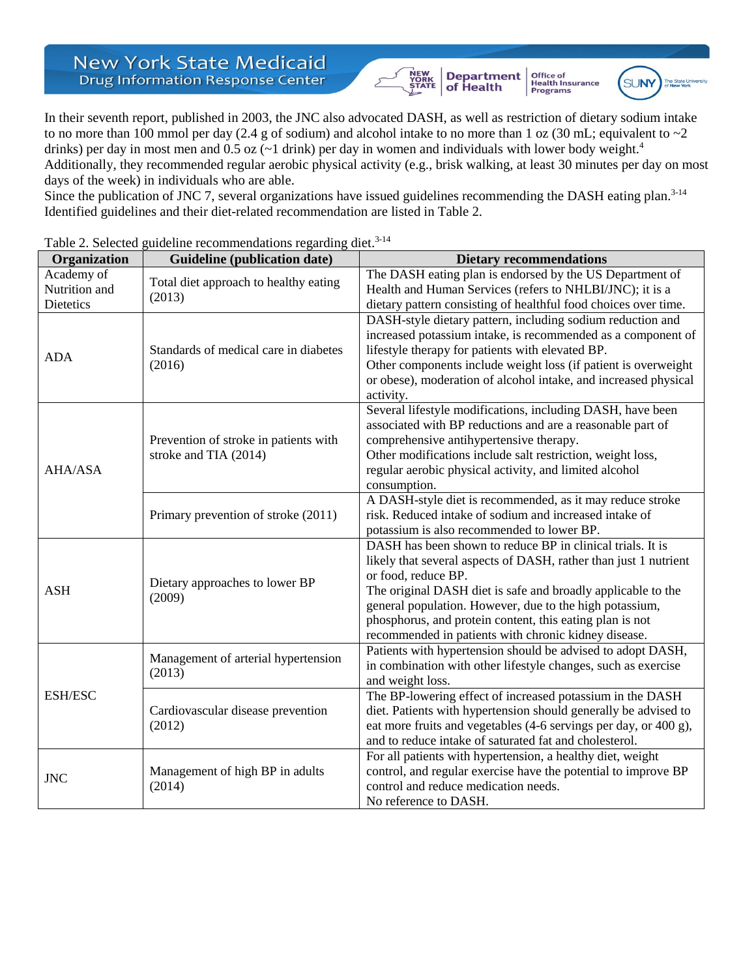## **New York State Medicaid Drug Information Response Center**

Department<br>of Health NEW<br>YORK<br>STATE

Office of<br>Health Insurance<br>Programs



In their seventh report, published in 2003, the JNC also advocated DASH, as well as restriction of dietary sodium intake to no more than 100 mmol per day (2.4 g of sodium) and alcohol intake to no more than 1 oz (30 mL; equivalent to  $\sim$ 2 drinks) per day in most men and  $0.5$  oz ( $\sim$ 1 drink) per day in women and individuals with lower body weight.<sup>4</sup> Additionally, they recommended regular aerobic physical activity (e.g., brisk walking, at least 30 minutes per day on most days of the week) in individuals who are able.

Since the publication of JNC 7, several organizations have issued guidelines recommending the DASH eating plan.<sup>3-14</sup> Identified guidelines and their diet-related recommendation are listed in Table 2.

| Organization                                    | Guideline (publication date)                                   | <b>Dietary recommendations</b>                                                                                                                                                                                                                                                                                                                                                                       |  |
|-------------------------------------------------|----------------------------------------------------------------|------------------------------------------------------------------------------------------------------------------------------------------------------------------------------------------------------------------------------------------------------------------------------------------------------------------------------------------------------------------------------------------------------|--|
| Academy of<br>Nutrition and<br><b>Dietetics</b> | Total diet approach to healthy eating<br>(2013)                | The DASH eating plan is endorsed by the US Department of<br>Health and Human Services (refers to NHLBI/JNC); it is a<br>dietary pattern consisting of healthful food choices over time.                                                                                                                                                                                                              |  |
| <b>ADA</b>                                      | Standards of medical care in diabetes<br>(2016)                | DASH-style dietary pattern, including sodium reduction and<br>increased potassium intake, is recommended as a component of<br>lifestyle therapy for patients with elevated BP.<br>Other components include weight loss (if patient is overweight<br>or obese), moderation of alcohol intake, and increased physical<br>activity.                                                                     |  |
| <b>AHA/ASA</b>                                  | Prevention of stroke in patients with<br>stroke and TIA (2014) | Several lifestyle modifications, including DASH, have been<br>associated with BP reductions and are a reasonable part of<br>comprehensive antihypertensive therapy.<br>Other modifications include salt restriction, weight loss,<br>regular aerobic physical activity, and limited alcohol<br>consumption.                                                                                          |  |
|                                                 | Primary prevention of stroke (2011)                            | A DASH-style diet is recommended, as it may reduce stroke<br>risk. Reduced intake of sodium and increased intake of<br>potassium is also recommended to lower BP.                                                                                                                                                                                                                                    |  |
| <b>ASH</b>                                      | Dietary approaches to lower BP<br>(2009)                       | DASH has been shown to reduce BP in clinical trials. It is<br>likely that several aspects of DASH, rather than just 1 nutrient<br>or food, reduce BP.<br>The original DASH diet is safe and broadly applicable to the<br>general population. However, due to the high potassium,<br>phosphorus, and protein content, this eating plan is not<br>recommended in patients with chronic kidney disease. |  |
| <b>ESH/ESC</b>                                  | Management of arterial hypertension<br>(2013)                  | Patients with hypertension should be advised to adopt DASH,<br>in combination with other lifestyle changes, such as exercise<br>and weight loss.                                                                                                                                                                                                                                                     |  |
|                                                 | Cardiovascular disease prevention<br>(2012)                    | The BP-lowering effect of increased potassium in the DASH<br>diet. Patients with hypertension should generally be advised to<br>eat more fruits and vegetables (4-6 servings per day, or 400 g),<br>and to reduce intake of saturated fat and cholesterol.                                                                                                                                           |  |
| <b>JNC</b>                                      | Management of high BP in adults<br>(2014)                      | For all patients with hypertension, a healthy diet, weight<br>control, and regular exercise have the potential to improve BP<br>control and reduce medication needs.<br>No reference to DASH.                                                                                                                                                                                                        |  |

## Table 2. Selected guideline recommendations regarding diet.<sup>3-14</sup>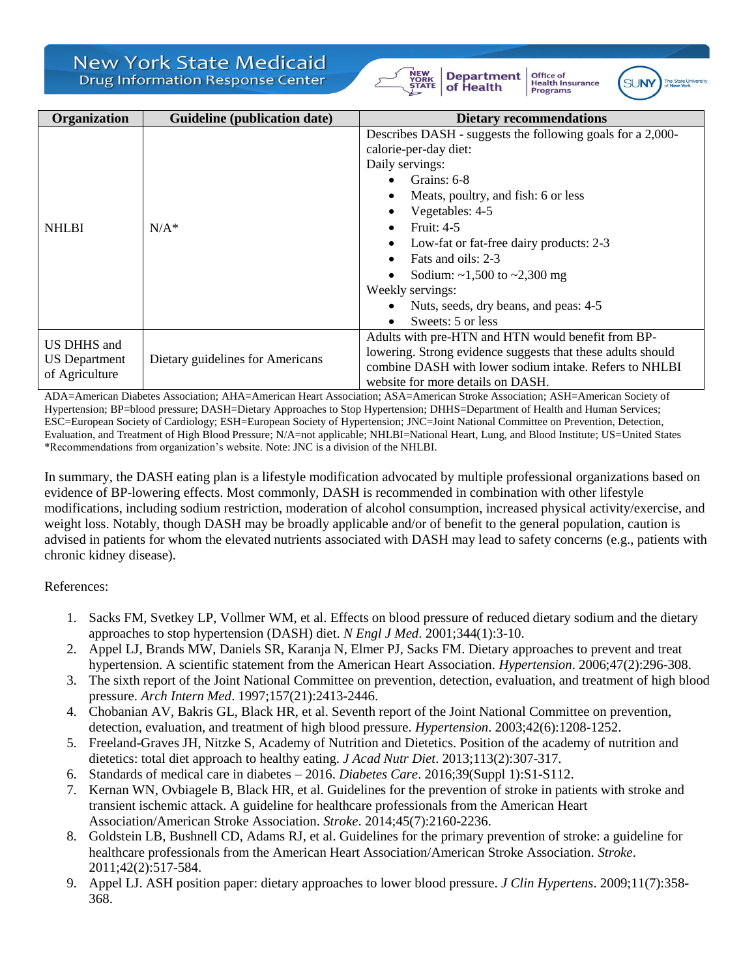|  | New York State Medicaid                 |  |
|--|-----------------------------------------|--|
|  | <b>Drug Information Response Center</b> |  |





**Office of<br>Health Insurance** 

**Programs** 

| Organization                                          | Guideline (publication date)     | <b>Dietary recommendations</b>                                                                                                                                                                                                                                                                                                                                                                                                                                                                    |
|-------------------------------------------------------|----------------------------------|---------------------------------------------------------------------------------------------------------------------------------------------------------------------------------------------------------------------------------------------------------------------------------------------------------------------------------------------------------------------------------------------------------------------------------------------------------------------------------------------------|
| <b>NHLBI</b>                                          | $N/A^*$                          | Describes DASH - suggests the following goals for a 2,000-<br>calorie-per-day diet:<br>Daily servings:<br>• Grains: $6-8$<br>Meats, poultry, and fish: 6 or less<br>$\bullet$<br>Vegetables: 4-5<br>$\bullet$<br><b>Fruit: 4-5</b><br>$\bullet$<br>Low-fat or fat-free dairy products: 2-3<br>$\bullet$<br>Fats and oils: 2-3<br>$\bullet$<br>Sodium: $\sim$ 1,500 to $\sim$ 2,300 mg<br>$\bullet$<br>Weekly servings:<br>Nuts, seeds, dry beans, and peas: 4-5<br>Sweets: 5 or less<br>$\bullet$ |
| US DHHS and<br><b>US</b> Department<br>of Agriculture | Dietary guidelines for Americans | Adults with pre-HTN and HTN would benefit from BP-<br>lowering. Strong evidence suggests that these adults should<br>combine DASH with lower sodium intake. Refers to NHLBI<br>website for more details on DASH.                                                                                                                                                                                                                                                                                  |

ADA=American Diabetes Association; AHA=American Heart Association; ASA=American Stroke Association; ASH=American Society of Hypertension; BP=blood pressure; DASH=Dietary Approaches to Stop Hypertension; DHHS=Department of Health and Human Services; ESC=European Society of Cardiology; ESH=European Society of Hypertension; JNC=Joint National Committee on Prevention, Detection, Evaluation, and Treatment of High Blood Pressure; N/A=not applicable; NHLBI=National Heart, Lung, and Blood Institute; US=United States \*Recommendations from organization's website. Note: JNC is a division of the NHLBI.

In summary, the DASH eating plan is a lifestyle modification advocated by multiple professional organizations based on evidence of BP-lowering effects. Most commonly, DASH is recommended in combination with other lifestyle modifications, including sodium restriction, moderation of alcohol consumption, increased physical activity/exercise, and weight loss. Notably, though DASH may be broadly applicable and/or of benefit to the general population, caution is advised in patients for whom the elevated nutrients associated with DASH may lead to safety concerns (e.g., patients with chronic kidney disease).

References:

- 1. Sacks FM, Svetkey LP, Vollmer WM, et al. Effects on blood pressure of reduced dietary sodium and the dietary approaches to stop hypertension (DASH) diet. *N Engl J Med*. 2001;344(1):3-10.
- 2. Appel LJ, Brands MW, Daniels SR, Karanja N, Elmer PJ, Sacks FM. Dietary approaches to prevent and treat hypertension. A scientific statement from the American Heart Association. *Hypertension*. 2006;47(2):296-308.
- 3. The sixth report of the Joint National Committee on prevention, detection, evaluation, and treatment of high blood pressure. *Arch Intern Med*. 1997;157(21):2413-2446.
- 4. Chobanian AV, Bakris GL, Black HR, et al. Seventh report of the Joint National Committee on prevention, detection, evaluation, and treatment of high blood pressure. *Hypertension*. 2003;42(6):1208-1252.
- 5. Freeland-Graves JH, Nitzke S, Academy of Nutrition and Dietetics. Position of the academy of nutrition and dietetics: total diet approach to healthy eating. *J Acad Nutr Diet*. 2013;113(2):307-317.
- 6. Standards of medical care in diabetes 2016. *Diabetes Care*. 2016;39(Suppl 1):S1-S112.
- 7. Kernan WN, Ovbiagele B, Black HR, et al. Guidelines for the prevention of stroke in patients with stroke and transient ischemic attack. A guideline for healthcare professionals from the American Heart Association/American Stroke Association. *Stroke*. 2014;45(7):2160-2236.
- 8. Goldstein LB, Bushnell CD, Adams RJ, et al. Guidelines for the primary prevention of stroke: a guideline for healthcare professionals from the American Heart Association/American Stroke Association. *Stroke*. 2011;42(2):517-584.
- 9. Appel LJ. ASH position paper: dietary approaches to lower blood pressure. *J Clin Hypertens*. 2009;11(7):358- 368.